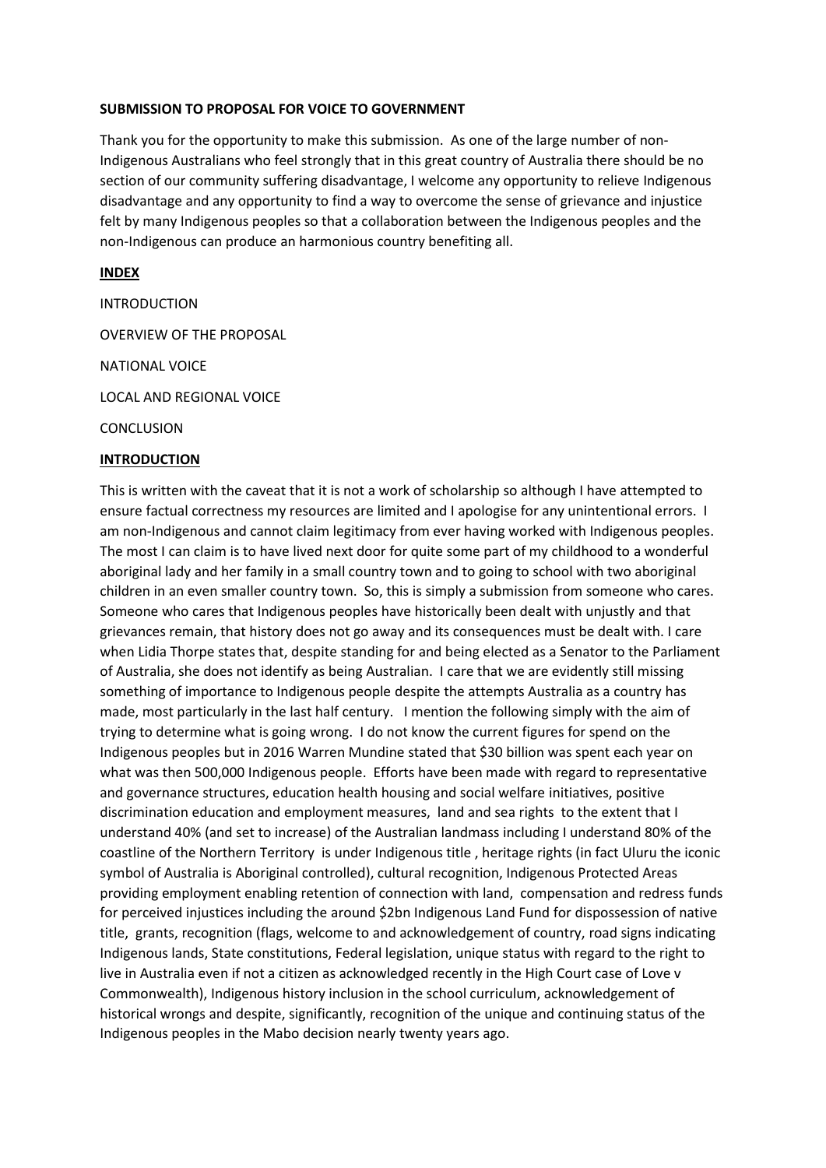#### **SUBMISSION TO PROPOSAL FOR VOICE TO GOVERNMENT**

Thank you for the opportunity to make this submission. As one of the large number of non-Indigenous Australians who feel strongly that in this great country of Australia there should be no section of our community suffering disadvantage, I welcome any opportunity to relieve Indigenous disadvantage and any opportunity to find a way to overcome the sense of grievance and injustice felt by many Indigenous peoples so that a collaboration between the Indigenous peoples and the non-Indigenous can produce an harmonious country benefiting all.

#### **INDEX**

INTRODUCTION

OVERVIEW OF THE PROPOSAL

NATIONAL VOICE

LOCAL AND REGIONAL VOICE

**CONCLUSION** 

#### **INTRODUCTION**

This is written with the caveat that it is not a work of scholarship so although I have attempted to ensure factual correctness my resources are limited and I apologise for any unintentional errors. I am non-Indigenous and cannot claim legitimacy from ever having worked with Indigenous peoples. The most I can claim is to have lived next door for quite some part of my childhood to a wonderful aboriginal lady and her family in a small country town and to going to school with two aboriginal children in an even smaller country town. So, this is simply a submission from someone who cares. Someone who cares that Indigenous peoples have historically been dealt with unjustly and that grievances remain, that history does not go away and its consequences must be dealt with. I care when Lidia Thorpe states that, despite standing for and being elected as a Senator to the Parliament of Australia, she does not identify as being Australian. I care that we are evidently still missing something of importance to Indigenous people despite the attempts Australia as a country has made, most particularly in the last half century. I mention the following simply with the aim of trying to determine what is going wrong. I do not know the current figures for spend on the Indigenous peoples but in 2016 Warren Mundine stated that \$30 billion was spent each year on what was then 500,000 Indigenous people. Efforts have been made with regard to representative and governance structures, education health housing and social welfare initiatives, positive discrimination education and employment measures, land and sea rights to the extent that I understand 40% (and set to increase) of the Australian landmass including I understand 80% of the coastline of the Northern Territory is under Indigenous title , heritage rights (in fact Uluru the iconic symbol of Australia is Aboriginal controlled), cultural recognition, Indigenous Protected Areas providing employment enabling retention of connection with land, compensation and redress funds for perceived injustices including the around \$2bn Indigenous Land Fund for dispossession of native title, grants, recognition (flags, welcome to and acknowledgement of country, road signs indicating Indigenous lands, State constitutions, Federal legislation, unique status with regard to the right to live in Australia even if not a citizen as acknowledged recently in the High Court case of Love v Commonwealth), Indigenous history inclusion in the school curriculum, acknowledgement of historical wrongs and despite, significantly, recognition of the unique and continuing status of the Indigenous peoples in the Mabo decision nearly twenty years ago.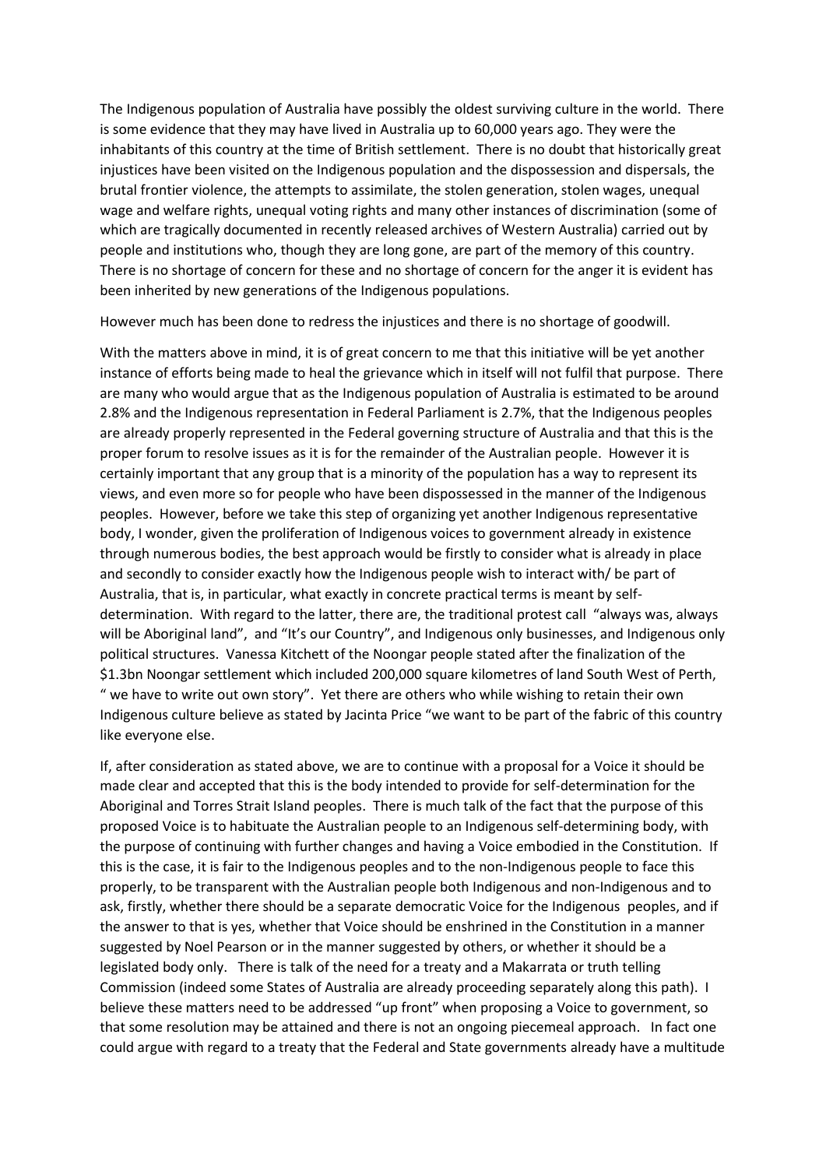The Indigenous population of Australia have possibly the oldest surviving culture in the world. There is some evidence that they may have lived in Australia up to 60,000 years ago. They were the inhabitants of this country at the time of British settlement. There is no doubt that historically great injustices have been visited on the Indigenous population and the dispossession and dispersals, the brutal frontier violence, the attempts to assimilate, the stolen generation, stolen wages, unequal wage and welfare rights, unequal voting rights and many other instances of discrimination (some of which are tragically documented in recently released archives of Western Australia) carried out by people and institutions who, though they are long gone, are part of the memory of this country. There is no shortage of concern for these and no shortage of concern for the anger it is evident has been inherited by new generations of the Indigenous populations.

However much has been done to redress the injustices and there is no shortage of goodwill.

With the matters above in mind, it is of great concern to me that this initiative will be yet another instance of efforts being made to heal the grievance which in itself will not fulfil that purpose. There are many who would argue that as the Indigenous population of Australia is estimated to be around 2.8% and the Indigenous representation in Federal Parliament is 2.7%, that the Indigenous peoples are already properly represented in the Federal governing structure of Australia and that this is the proper forum to resolve issues as it is for the remainder of the Australian people. However it is certainly important that any group that is a minority of the population has a way to represent its views, and even more so for people who have been dispossessed in the manner of the Indigenous peoples. However, before we take this step of organizing yet another Indigenous representative body, I wonder, given the proliferation of Indigenous voices to government already in existence through numerous bodies, the best approach would be firstly to consider what is already in place and secondly to consider exactly how the Indigenous people wish to interact with/ be part of Australia, that is, in particular, what exactly in concrete practical terms is meant by selfdetermination. With regard to the latter, there are, the traditional protest call "always was, always will be Aboriginal land", and "It's our Country", and Indigenous only businesses, and Indigenous only political structures. Vanessa Kitchett of the Noongar people stated after the finalization of the \$1.3bn Noongar settlement which included 200,000 square kilometres of land South West of Perth, " we have to write out own story". Yet there are others who while wishing to retain their own Indigenous culture believe as stated by Jacinta Price "we want to be part of the fabric of this country like everyone else.

If, after consideration as stated above, we are to continue with a proposal for a Voice it should be made clear and accepted that this is the body intended to provide for self-determination for the Aboriginal and Torres Strait Island peoples. There is much talk of the fact that the purpose of this proposed Voice is to habituate the Australian people to an Indigenous self-determining body, with the purpose of continuing with further changes and having a Voice embodied in the Constitution. If this is the case, it is fair to the Indigenous peoples and to the non-Indigenous people to face this properly, to be transparent with the Australian people both Indigenous and non-Indigenous and to ask, firstly, whether there should be a separate democratic Voice for the Indigenous peoples, and if the answer to that is yes, whether that Voice should be enshrined in the Constitution in a manner suggested by Noel Pearson or in the manner suggested by others, or whether it should be a legislated body only. There is talk of the need for a treaty and a Makarrata or truth telling Commission (indeed some States of Australia are already proceeding separately along this path). I believe these matters need to be addressed "up front" when proposing a Voice to government, so that some resolution may be attained and there is not an ongoing piecemeal approach. In fact one could argue with regard to a treaty that the Federal and State governments already have a multitude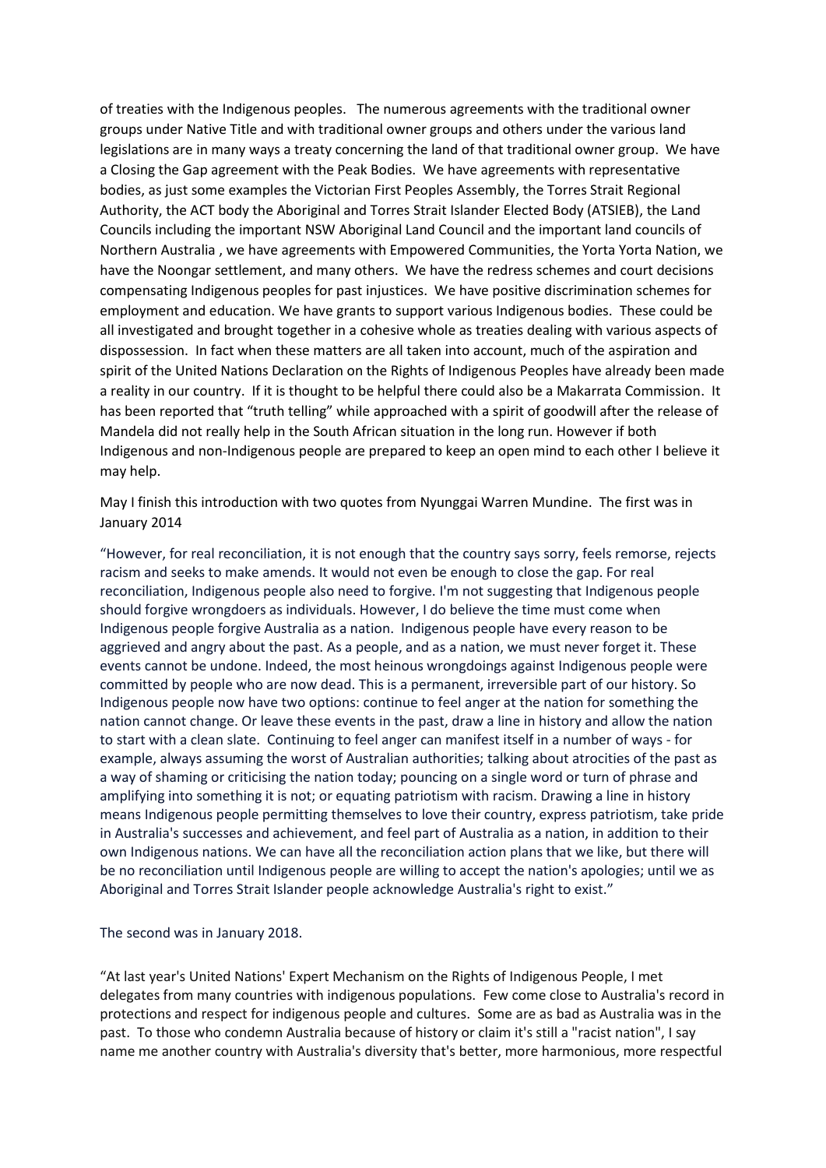of treaties with the Indigenous peoples. The numerous agreements with the traditional owner groups under Native Title and with traditional owner groups and others under the various land legislations are in many ways a treaty concerning the land of that traditional owner group. We have a Closing the Gap agreement with the Peak Bodies. We have agreements with representative bodies, as just some examples the Victorian First Peoples Assembly, the Torres Strait Regional Authority, the ACT body the Aboriginal and Torres Strait Islander Elected Body (ATSIEB), the Land Councils including the important NSW Aboriginal Land Council and the important land councils of Northern Australia , we have agreements with Empowered Communities, the Yorta Yorta Nation, we have the Noongar settlement, and many others. We have the redress schemes and court decisions compensating Indigenous peoples for past injustices. We have positive discrimination schemes for employment and education. We have grants to support various Indigenous bodies. These could be all investigated and brought together in a cohesive whole as treaties dealing with various aspects of dispossession. In fact when these matters are all taken into account, much of the aspiration and spirit of the United Nations Declaration on the Rights of Indigenous Peoples have already been made a reality in our country. If it is thought to be helpful there could also be a Makarrata Commission. It has been reported that "truth telling" while approached with a spirit of goodwill after the release of Mandela did not really help in the South African situation in the long run. However if both Indigenous and non-Indigenous people are prepared to keep an open mind to each other I believe it may help.

May I finish this introduction with two quotes from Nyunggai Warren Mundine. The first was in January 2014

"However, for real reconciliation, it is not enough that the country says sorry, feels remorse, rejects racism and seeks to make amends. It would not even be enough to close the gap. For real reconciliation, Indigenous people also need to forgive. I'm not suggesting that Indigenous people should forgive wrongdoers as individuals. However, I do believe the time must come when Indigenous people forgive Australia as a nation. Indigenous people have every reason to be aggrieved and angry about the past. As a people, and as a nation, we must never forget it. These events cannot be undone. Indeed, the most heinous wrongdoings against Indigenous people were committed by people who are now dead. This is a permanent, irreversible part of our history. So Indigenous people now have two options: continue to feel anger at the nation for something the nation cannot change. Or leave these events in the past, draw a line in history and allow the nation to start with a clean slate. Continuing to feel anger can manifest itself in a number of ways - for example, always assuming the worst of Australian authorities; talking about atrocities of the past as a way of shaming or criticising the nation today; pouncing on a single word or turn of phrase and amplifying into something it is not; or equating patriotism with racism. Drawing a line in history means Indigenous people permitting themselves to love their country, express patriotism, take pride in Australia's successes and achievement, and feel part of Australia as a nation, in addition to their own Indigenous nations. We can have all the reconciliation action plans that we like, but there will be no reconciliation until Indigenous people are willing to accept the nation's apologies; until we as Aboriginal and Torres Strait Islander people acknowledge Australia's right to exist."

The second was in January 2018.

"At last year's United Nations' Expert Mechanism on the Rights of Indigenous People, I met delegates from many countries with indigenous populations. Few come close to Australia's record in protections and respect for indigenous people and cultures. Some are as bad as Australia was in the past. To those who condemn Australia because of history or claim it's still a "racist nation", I say name me another country with Australia's diversity that's better, more harmonious, more respectful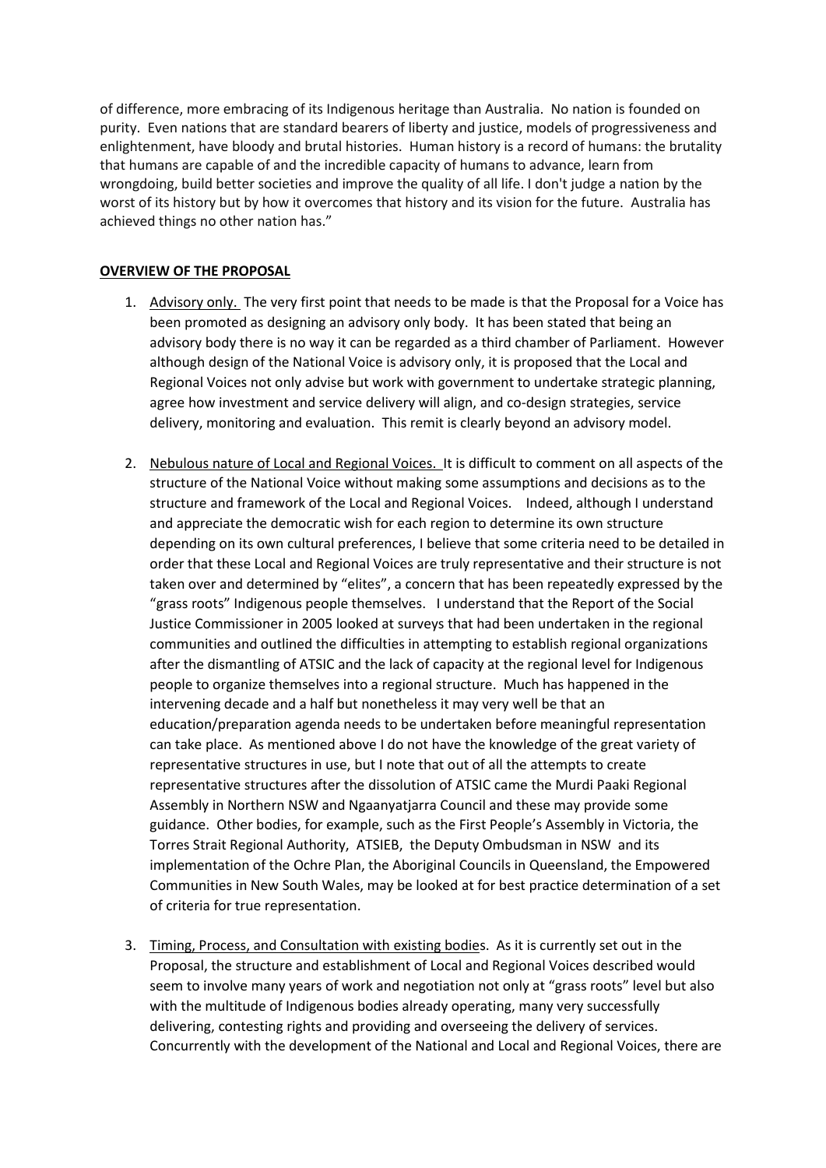of difference, more embracing of its Indigenous heritage than Australia. No nation is founded on purity. Even nations that are standard bearers of liberty and justice, models of progressiveness and enlightenment, have bloody and brutal histories. Human history is a record of humans: the brutality that humans are capable of and the incredible capacity of humans to advance, learn from wrongdoing, build better societies and improve the quality of all life. I don't judge a nation by the worst of its history but by how it overcomes that history and its vision for the future. Australia has achieved things no other nation has."

## **OVERVIEW OF THE PROPOSAL**

- 1. Advisory only. The very first point that needs to be made is that the Proposal for a Voice has been promoted as designing an advisory only body. It has been stated that being an advisory body there is no way it can be regarded as a third chamber of Parliament. However although design of the National Voice is advisory only, it is proposed that the Local and Regional Voices not only advise but work with government to undertake strategic planning, agree how investment and service delivery will align, and co-design strategies, service delivery, monitoring and evaluation. This remit is clearly beyond an advisory model.
- 2. Nebulous nature of Local and Regional Voices. It is difficult to comment on all aspects of the structure of the National Voice without making some assumptions and decisions as to the structure and framework of the Local and Regional Voices. Indeed, although I understand and appreciate the democratic wish for each region to determine its own structure depending on its own cultural preferences, I believe that some criteria need to be detailed in order that these Local and Regional Voices are truly representative and their structure is not taken over and determined by "elites", a concern that has been repeatedly expressed by the "grass roots" Indigenous people themselves. I understand that the Report of the Social Justice Commissioner in 2005 looked at surveys that had been undertaken in the regional communities and outlined the difficulties in attempting to establish regional organizations after the dismantling of ATSIC and the lack of capacity at the regional level for Indigenous people to organize themselves into a regional structure. Much has happened in the intervening decade and a half but nonetheless it may very well be that an education/preparation agenda needs to be undertaken before meaningful representation can take place. As mentioned above I do not have the knowledge of the great variety of representative structures in use, but I note that out of all the attempts to create representative structures after the dissolution of ATSIC came the Murdi Paaki Regional Assembly in Northern NSW and Ngaanyatjarra Council and these may provide some guidance. Other bodies, for example, such as the First People's Assembly in Victoria, the Torres Strait Regional Authority, ATSIEB, the Deputy Ombudsman in NSW and its implementation of the Ochre Plan, the Aboriginal Councils in Queensland, the Empowered Communities in New South Wales, may be looked at for best practice determination of a set of criteria for true representation.
- 3. Timing, Process, and Consultation with existing bodies. As it is currently set out in the Proposal, the structure and establishment of Local and Regional Voices described would seem to involve many years of work and negotiation not only at "grass roots" level but also with the multitude of Indigenous bodies already operating, many very successfully delivering, contesting rights and providing and overseeing the delivery of services. Concurrently with the development of the National and Local and Regional Voices, there are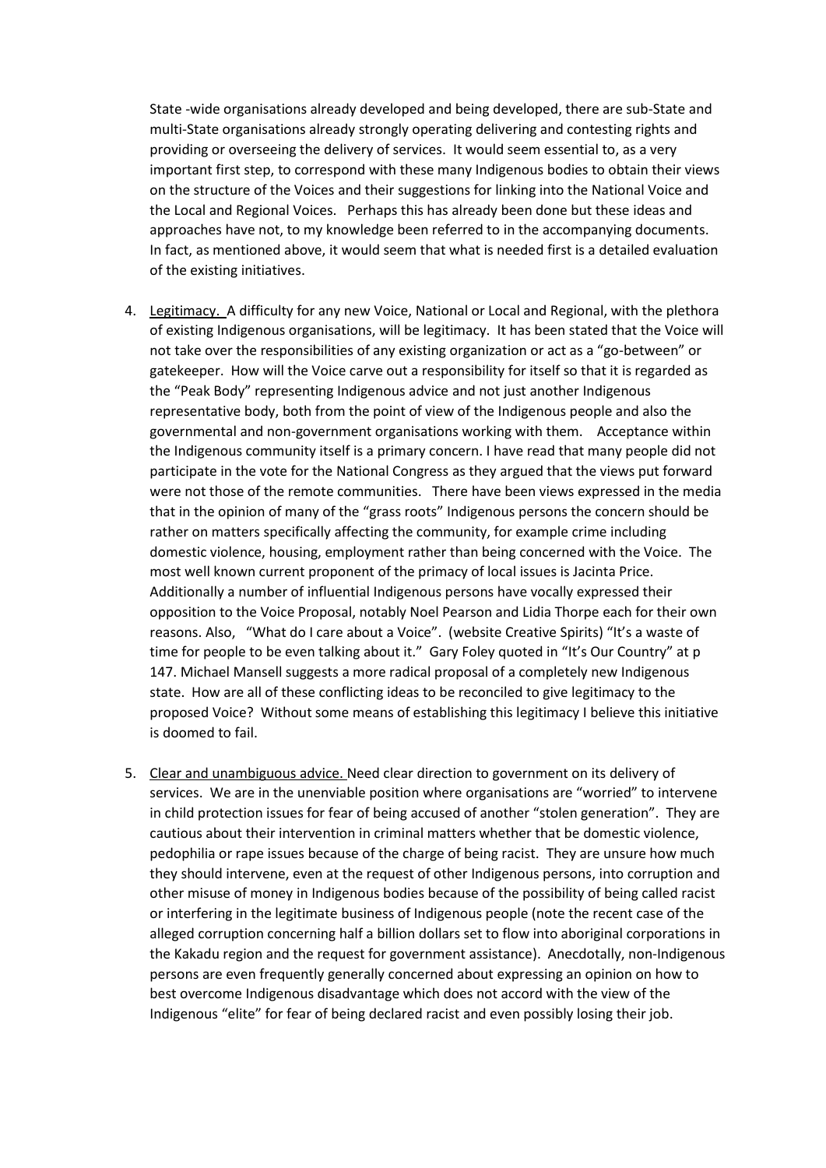State -wide organisations already developed and being developed, there are sub-State and multi-State organisations already strongly operating delivering and contesting rights and providing or overseeing the delivery of services. It would seem essential to, as a very important first step, to correspond with these many Indigenous bodies to obtain their views on the structure of the Voices and their suggestions for linking into the National Voice and the Local and Regional Voices. Perhaps this has already been done but these ideas and approaches have not, to my knowledge been referred to in the accompanying documents. In fact, as mentioned above, it would seem that what is needed first is a detailed evaluation of the existing initiatives.

- 4. Legitimacy. A difficulty for any new Voice, National or Local and Regional, with the plethora of existing Indigenous organisations, will be legitimacy. It has been stated that the Voice will not take over the responsibilities of any existing organization or act as a "go-between" or gatekeeper. How will the Voice carve out a responsibility for itself so that it is regarded as the "Peak Body" representing Indigenous advice and not just another Indigenous representative body, both from the point of view of the Indigenous people and also the governmental and non-government organisations working with them. Acceptance within the Indigenous community itself is a primary concern. I have read that many people did not participate in the vote for the National Congress as they argued that the views put forward were not those of the remote communities. There have been views expressed in the media that in the opinion of many of the "grass roots" Indigenous persons the concern should be rather on matters specifically affecting the community, for example crime including domestic violence, housing, employment rather than being concerned with the Voice. The most well known current proponent of the primacy of local issues is Jacinta Price. Additionally a number of influential Indigenous persons have vocally expressed their opposition to the Voice Proposal, notably Noel Pearson and Lidia Thorpe each for their own reasons. Also, "What do I care about a Voice". (website Creative Spirits) "It's a waste of time for people to be even talking about it." Gary Foley quoted in "It's Our Country" at p 147. Michael Mansell suggests a more radical proposal of a completely new Indigenous state. How are all of these conflicting ideas to be reconciled to give legitimacy to the proposed Voice? Without some means of establishing this legitimacy I believe this initiative is doomed to fail.
- 5. Clear and unambiguous advice. Need clear direction to government on its delivery of services. We are in the unenviable position where organisations are "worried" to intervene in child protection issues for fear of being accused of another "stolen generation". They are cautious about their intervention in criminal matters whether that be domestic violence, pedophilia or rape issues because of the charge of being racist. They are unsure how much they should intervene, even at the request of other Indigenous persons, into corruption and other misuse of money in Indigenous bodies because of the possibility of being called racist or interfering in the legitimate business of Indigenous people (note the recent case of the alleged corruption concerning half a billion dollars set to flow into aboriginal corporations in the Kakadu region and the request for government assistance). Anecdotally, non-Indigenous persons are even frequently generally concerned about expressing an opinion on how to best overcome Indigenous disadvantage which does not accord with the view of the Indigenous "elite" for fear of being declared racist and even possibly losing their job.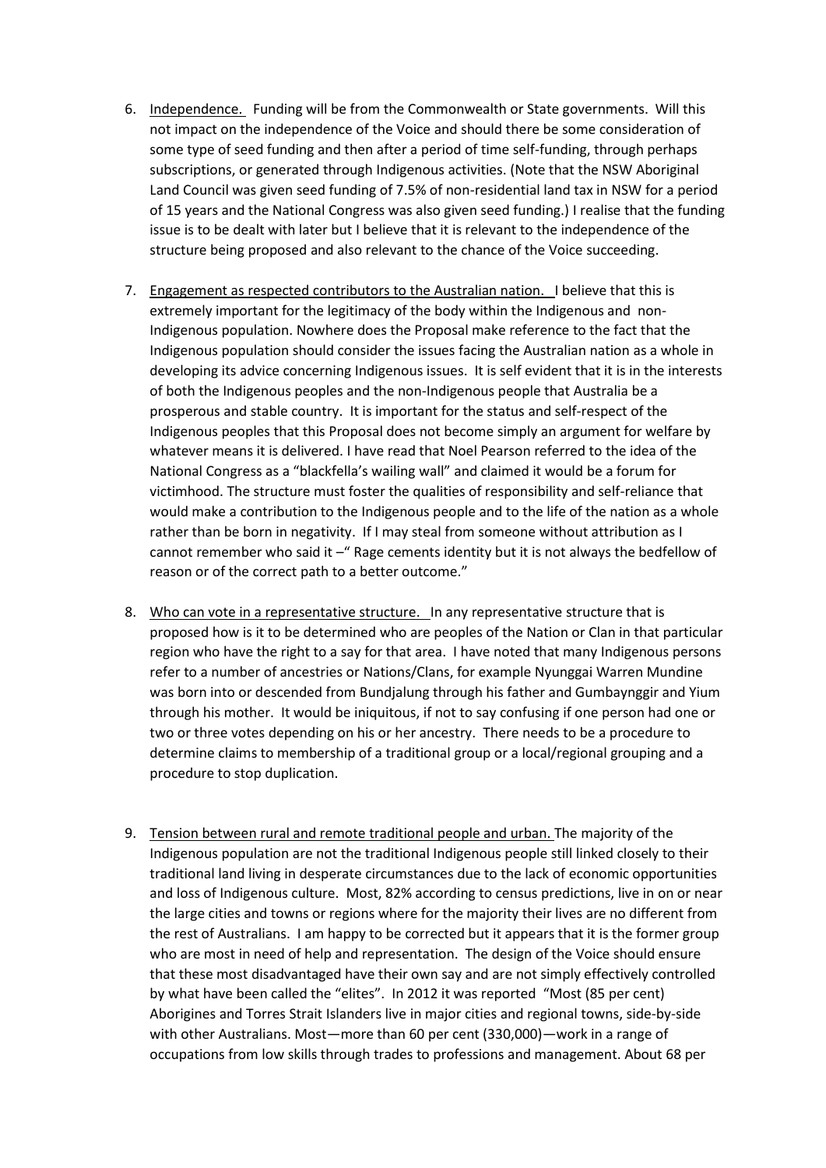- 6. Independence. Funding will be from the Commonwealth or State governments. Will this not impact on the independence of the Voice and should there be some consideration of some type of seed funding and then after a period of time self-funding, through perhaps subscriptions, or generated through Indigenous activities. (Note that the NSW Aboriginal Land Council was given seed funding of 7.5% of non-residential land tax in NSW for a period of 15 years and the National Congress was also given seed funding.) I realise that the funding issue is to be dealt with later but I believe that it is relevant to the independence of the structure being proposed and also relevant to the chance of the Voice succeeding.
- 7. Engagement as respected contributors to the Australian nation. I believe that this is extremely important for the legitimacy of the body within the Indigenous and non-Indigenous population. Nowhere does the Proposal make reference to the fact that the Indigenous population should consider the issues facing the Australian nation as a whole in developing its advice concerning Indigenous issues. It is self evident that it is in the interests of both the Indigenous peoples and the non-Indigenous people that Australia be a prosperous and stable country. It is important for the status and self-respect of the Indigenous peoples that this Proposal does not become simply an argument for welfare by whatever means it is delivered. I have read that Noel Pearson referred to the idea of the National Congress as a "blackfella's wailing wall" and claimed it would be a forum for victimhood. The structure must foster the qualities of responsibility and self-reliance that would make a contribution to the Indigenous people and to the life of the nation as a whole rather than be born in negativity. If I may steal from someone without attribution as I cannot remember who said it  $-\pi$  Rage cements identity but it is not always the bedfellow of reason or of the correct path to a better outcome."
- 8. Who can vote in a representative structure. In any representative structure that is proposed how is it to be determined who are peoples of the Nation or Clan in that particular region who have the right to a say for that area. I have noted that many Indigenous persons refer to a number of ancestries or Nations/Clans, for example Nyunggai Warren Mundine was born into or descended from Bundjalung through his father and Gumbaynggir and Yium through his mother. It would be iniquitous, if not to say confusing if one person had one or two or three votes depending on his or her ancestry. There needs to be a procedure to determine claims to membership of a traditional group or a local/regional grouping and a procedure to stop duplication.
- 9. Tension between rural and remote traditional people and urban. The majority of the Indigenous population are not the traditional Indigenous people still linked closely to their traditional land living in desperate circumstances due to the lack of economic opportunities and loss of Indigenous culture. Most, 82% according to census predictions, live in on or near the large cities and towns or regions where for the majority their lives are no different from the rest of Australians. I am happy to be corrected but it appears that it is the former group who are most in need of help and representation. The design of the Voice should ensure that these most disadvantaged have their own say and are not simply effectively controlled by what have been called the "elites". In 2012 it was reported "Most (85 per cent) Aborigines and Torres Strait Islanders live in major cities and regional towns, side-by-side with other Australians. Most—more than 60 per cent (330,000)—work in a range of occupations from low skills through trades to professions and management. About 68 per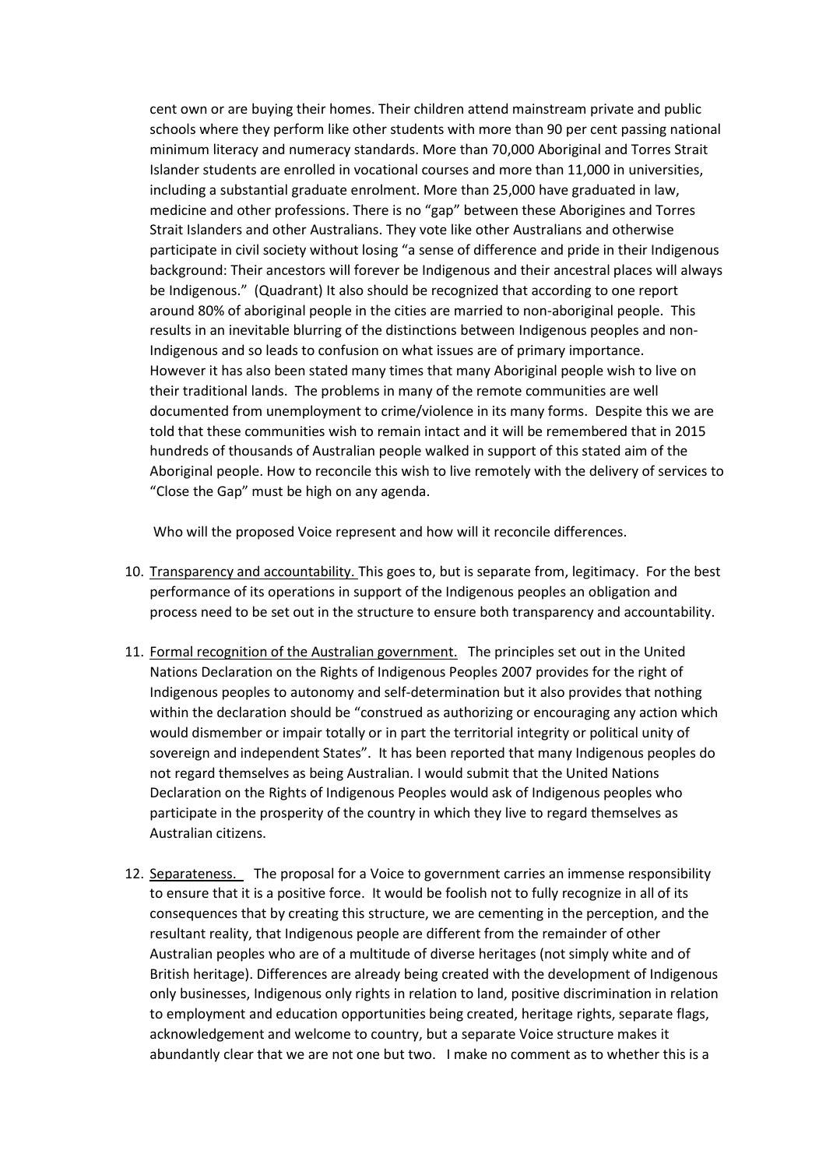cent own or are buying their homes. Their children attend mainstream private and public schools where they perform like other students with more than 90 per cent passing national minimum literacy and numeracy standards. More than 70,000 Aboriginal and Torres Strait Islander students are enrolled in vocational courses and more than 11,000 in universities, including a substantial graduate enrolment. More than 25,000 have graduated in law, medicine and other professions. There is no "gap" between these Aborigines and Torres Strait Islanders and other Australians. They vote like other Australians and otherwise participate in civil society without losing "a sense of difference and pride in their Indigenous background: Their ancestors will forever be Indigenous and their ancestral places will always be Indigenous." (Quadrant) It also should be recognized that according to one report around 80% of aboriginal people in the cities are married to non-aboriginal people. This results in an inevitable blurring of the distinctions between Indigenous peoples and non-Indigenous and so leads to confusion on what issues are of primary importance. However it has also been stated many times that many Aboriginal people wish to live on their traditional lands. The problems in many of the remote communities are well documented from unemployment to crime/violence in its many forms. Despite this we are told that these communities wish to remain intact and it will be remembered that in 2015 hundreds of thousands of Australian people walked in support of this stated aim of the Aboriginal people. How to reconcile this wish to live remotely with the delivery of services to "Close the Gap" must be high on any agenda.

Who will the proposed Voice represent and how will it reconcile differences.

- 10. Transparency and accountability. This goes to, but is separate from, legitimacy. For the best performance of its operations in support of the Indigenous peoples an obligation and process need to be set out in the structure to ensure both transparency and accountability.
- 11. Formal recognition of the Australian government. The principles set out in the United Nations Declaration on the Rights of Indigenous Peoples 2007 provides for the right of Indigenous peoples to autonomy and self-determination but it also provides that nothing within the declaration should be "construed as authorizing or encouraging any action which would dismember or impair totally or in part the territorial integrity or political unity of sovereign and independent States". It has been reported that many Indigenous peoples do not regard themselves as being Australian. I would submit that the United Nations Declaration on the Rights of Indigenous Peoples would ask of Indigenous peoples who participate in the prosperity of the country in which they live to regard themselves as Australian citizens.
- 12. Separateness. The proposal for a Voice to government carries an immense responsibility to ensure that it is a positive force. It would be foolish not to fully recognize in all of its consequences that by creating this structure, we are cementing in the perception, and the resultant reality, that Indigenous people are different from the remainder of other Australian peoples who are of a multitude of diverse heritages (not simply white and of British heritage). Differences are already being created with the development of Indigenous only businesses, Indigenous only rights in relation to land, positive discrimination in relation to employment and education opportunities being created, heritage rights, separate flags, acknowledgement and welcome to country, but a separate Voice structure makes it abundantly clear that we are not one but two. I make no comment as to whether this is a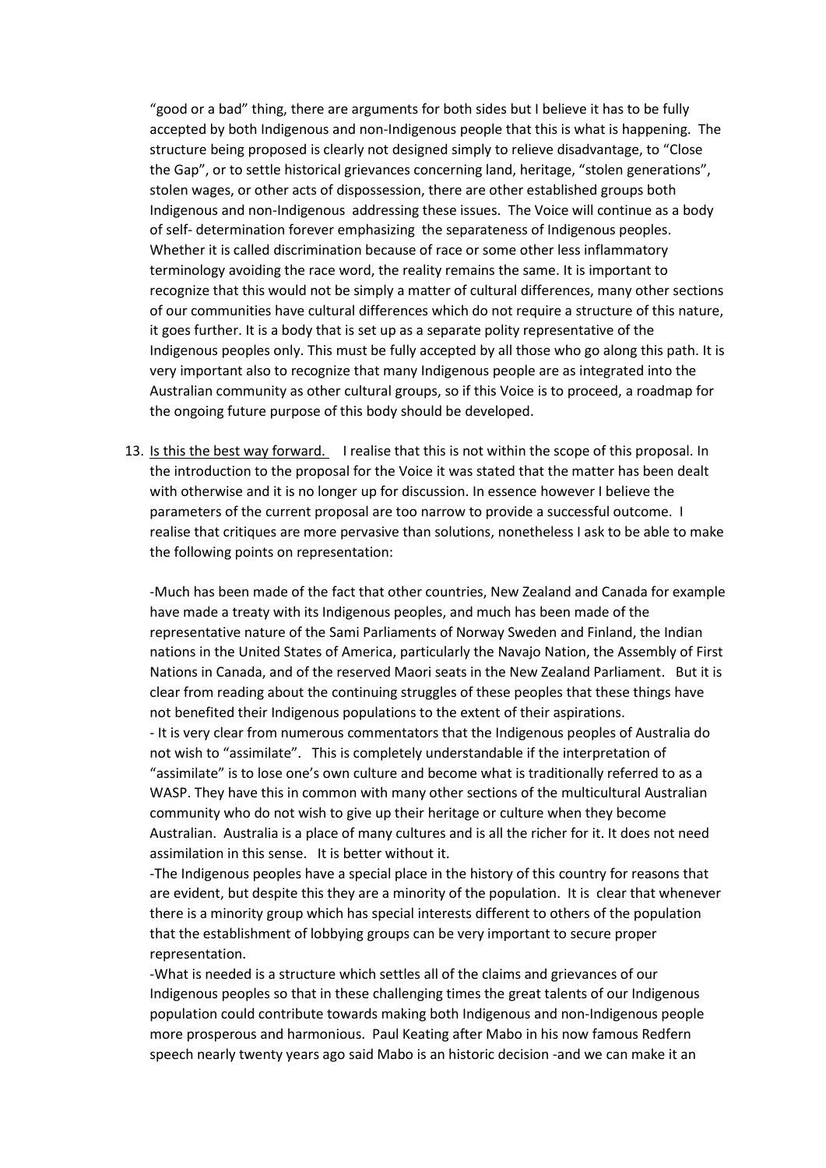"good or a bad" thing, there are arguments for both sides but I believe it has to be fully accepted by both Indigenous and non-Indigenous people that this is what is happening. The structure being proposed is clearly not designed simply to relieve disadvantage, to "Close the Gap", or to settle historical grievances concerning land, heritage, "stolen generations", stolen wages, or other acts of dispossession, there are other established groups both Indigenous and non-Indigenous addressing these issues. The Voice will continue as a body of self- determination forever emphasizing the separateness of Indigenous peoples. Whether it is called discrimination because of race or some other less inflammatory terminology avoiding the race word, the reality remains the same. It is important to recognize that this would not be simply a matter of cultural differences, many other sections of our communities have cultural differences which do not require a structure of this nature, it goes further. It is a body that is set up as a separate polity representative of the Indigenous peoples only. This must be fully accepted by all those who go along this path. It is very important also to recognize that many Indigenous people are as integrated into the Australian community as other cultural groups, so if this Voice is to proceed, a roadmap for the ongoing future purpose of this body should be developed.

13. Is this the best way forward. I realise that this is not within the scope of this proposal. In the introduction to the proposal for the Voice it was stated that the matter has been dealt with otherwise and it is no longer up for discussion. In essence however I believe the parameters of the current proposal are too narrow to provide a successful outcome. I realise that critiques are more pervasive than solutions, nonetheless I ask to be able to make the following points on representation:

-Much has been made of the fact that other countries, New Zealand and Canada for example have made a treaty with its Indigenous peoples, and much has been made of the representative nature of the Sami Parliaments of Norway Sweden and Finland, the Indian nations in the United States of America, particularly the Navajo Nation, the Assembly of First Nations in Canada, and of the reserved Maori seats in the New Zealand Parliament. But it is clear from reading about the continuing struggles of these peoples that these things have not benefited their Indigenous populations to the extent of their aspirations.

- It is very clear from numerous commentators that the Indigenous peoples of Australia do not wish to "assimilate". This is completely understandable if the interpretation of "assimilate" is to lose one's own culture and become what is traditionally referred to as a WASP. They have this in common with many other sections of the multicultural Australian community who do not wish to give up their heritage or culture when they become Australian. Australia is a place of many cultures and is all the richer for it. It does not need assimilation in this sense. It is better without it.

-The Indigenous peoples have a special place in the history of this country for reasons that are evident, but despite this they are a minority of the population. It is clear that whenever there is a minority group which has special interests different to others of the population that the establishment of lobbying groups can be very important to secure proper representation.

-What is needed is a structure which settles all of the claims and grievances of our Indigenous peoples so that in these challenging times the great talents of our Indigenous population could contribute towards making both Indigenous and non-Indigenous people more prosperous and harmonious. Paul Keating after Mabo in his now famous Redfern speech nearly twenty years ago said Mabo is an historic decision -and we can make it an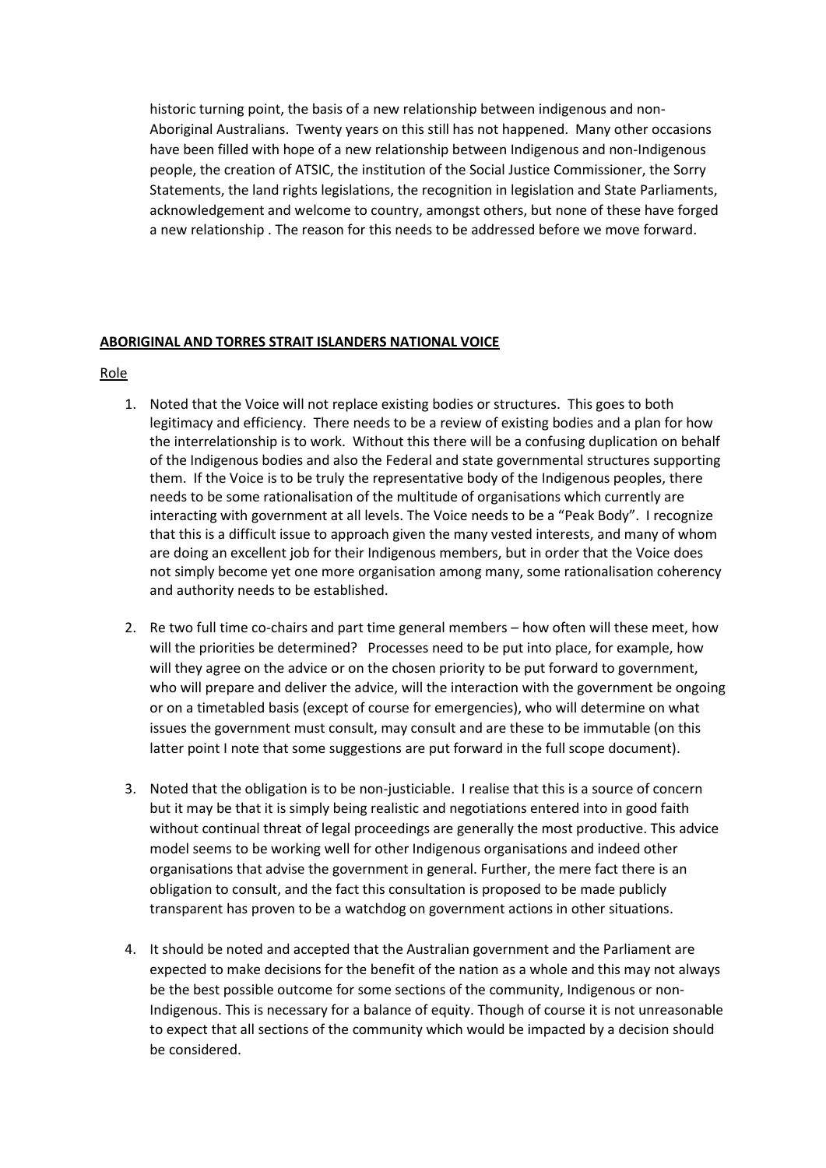historic turning point, the basis of a new relationship between indigenous and non-Aboriginal Australians. Twenty years on this still has not happened. Many other occasions have been filled with hope of a new relationship between Indigenous and non-Indigenous people, the creation of ATSIC, the institution of the Social Justice Commissioner, the Sorry Statements, the land rights legislations, the recognition in legislation and State Parliaments, acknowledgement and welcome to country, amongst others, but none of these have forged a new relationship . The reason for this needs to be addressed before we move forward.

#### **ABORIGINAL AND TORRES STRAIT ISLANDERS NATIONAL VOICE**

Role

- 1. Noted that the Voice will not replace existing bodies or structures. This goes to both legitimacy and efficiency. There needs to be a review of existing bodies and a plan for how the interrelationship is to work. Without this there will be a confusing duplication on behalf of the Indigenous bodies and also the Federal and state governmental structures supporting them. If the Voice is to be truly the representative body of the Indigenous peoples, there needs to be some rationalisation of the multitude of organisations which currently are interacting with government at all levels. The Voice needs to be a "Peak Body". I recognize that this is a difficult issue to approach given the many vested interests, and many of whom are doing an excellent job for their Indigenous members, but in order that the Voice does not simply become yet one more organisation among many, some rationalisation coherency and authority needs to be established.
- 2. Re two full time co-chairs and part time general members how often will these meet, how will the priorities be determined? Processes need to be put into place, for example, how will they agree on the advice or on the chosen priority to be put forward to government, who will prepare and deliver the advice, will the interaction with the government be ongoing or on a timetabled basis (except of course for emergencies), who will determine on what issues the government must consult, may consult and are these to be immutable (on this latter point I note that some suggestions are put forward in the full scope document).
- 3. Noted that the obligation is to be non-justiciable. I realise that this is a source of concern but it may be that it is simply being realistic and negotiations entered into in good faith without continual threat of legal proceedings are generally the most productive. This advice model seems to be working well for other Indigenous organisations and indeed other organisations that advise the government in general. Further, the mere fact there is an obligation to consult, and the fact this consultation is proposed to be made publicly transparent has proven to be a watchdog on government actions in other situations.
- 4. It should be noted and accepted that the Australian government and the Parliament are expected to make decisions for the benefit of the nation as a whole and this may not always be the best possible outcome for some sections of the community, Indigenous or non-Indigenous. This is necessary for a balance of equity. Though of course it is not unreasonable to expect that all sections of the community which would be impacted by a decision should be considered.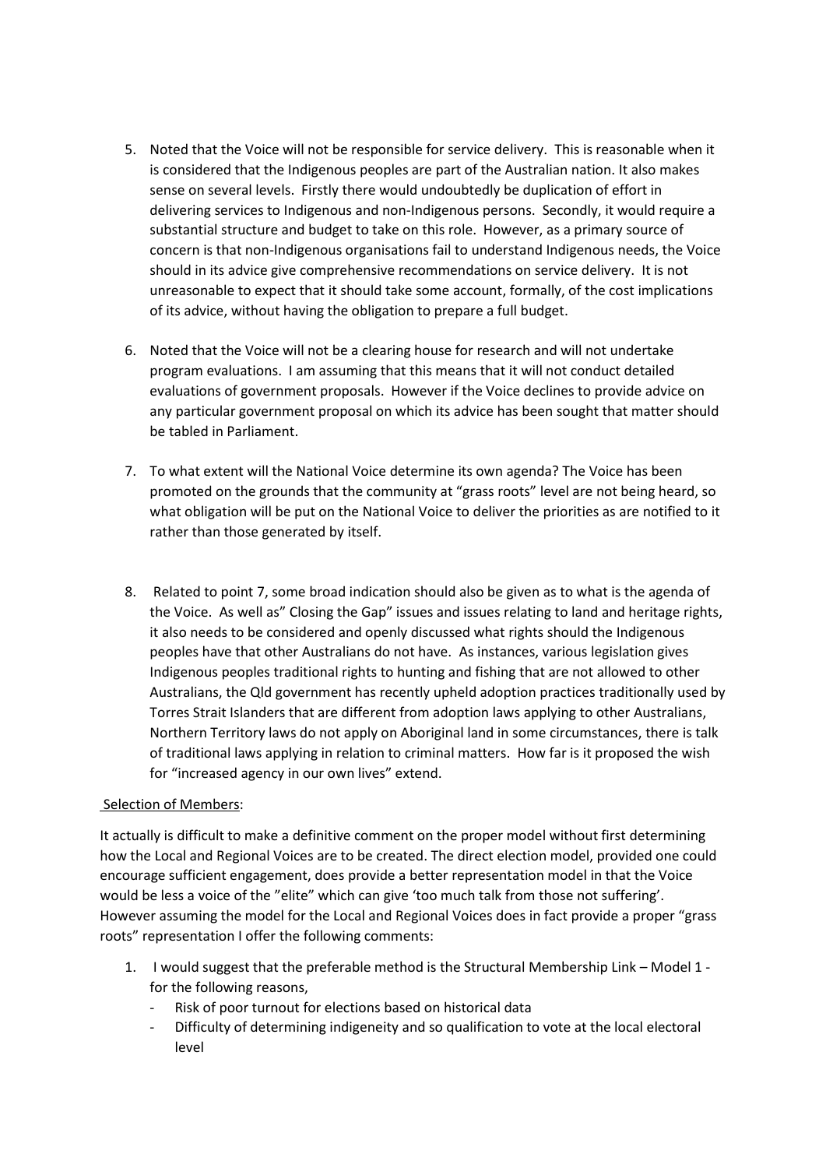- 5. Noted that the Voice will not be responsible for service delivery. This is reasonable when it is considered that the Indigenous peoples are part of the Australian nation. It also makes sense on several levels. Firstly there would undoubtedly be duplication of effort in delivering services to Indigenous and non-Indigenous persons. Secondly, it would require a substantial structure and budget to take on this role. However, as a primary source of concern is that non-Indigenous organisations fail to understand Indigenous needs, the Voice should in its advice give comprehensive recommendations on service delivery. It is not unreasonable to expect that it should take some account, formally, of the cost implications of its advice, without having the obligation to prepare a full budget.
- 6. Noted that the Voice will not be a clearing house for research and will not undertake program evaluations. I am assuming that this means that it will not conduct detailed evaluations of government proposals. However if the Voice declines to provide advice on any particular government proposal on which its advice has been sought that matter should be tabled in Parliament.
- 7. To what extent will the National Voice determine its own agenda? The Voice has been promoted on the grounds that the community at "grass roots" level are not being heard, so what obligation will be put on the National Voice to deliver the priorities as are notified to it rather than those generated by itself.
- 8. Related to point 7, some broad indication should also be given as to what is the agenda of the Voice. As well as" Closing the Gap" issues and issues relating to land and heritage rights, it also needs to be considered and openly discussed what rights should the Indigenous peoples have that other Australians do not have. As instances, various legislation gives Indigenous peoples traditional rights to hunting and fishing that are not allowed to other Australians, the Qld government has recently upheld adoption practices traditionally used by Torres Strait Islanders that are different from adoption laws applying to other Australians, Northern Territory laws do not apply on Aboriginal land in some circumstances, there is talk of traditional laws applying in relation to criminal matters. How far is it proposed the wish for "increased agency in our own lives" extend.

### Selection of Members:

It actually is difficult to make a definitive comment on the proper model without first determining how the Local and Regional Voices are to be created. The direct election model, provided one could encourage sufficient engagement, does provide a better representation model in that the Voice would be less a voice of the "elite" which can give 'too much talk from those not suffering'. However assuming the model for the Local and Regional Voices does in fact provide a proper "grass roots" representation I offer the following comments:

- 1. I would suggest that the preferable method is the Structural Membership Link Model 1 for the following reasons,
	- Risk of poor turnout for elections based on historical data
	- Difficulty of determining indigeneity and so qualification to vote at the local electoral level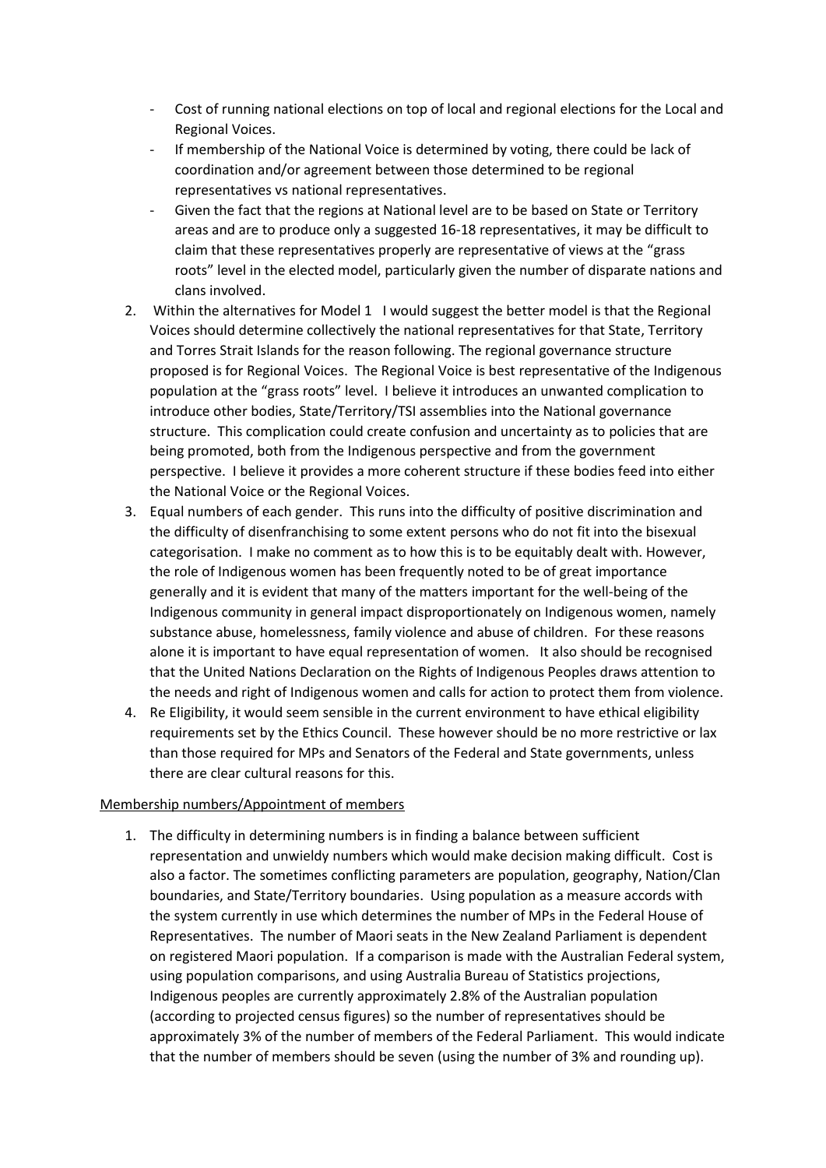- Cost of running national elections on top of local and regional elections for the Local and Regional Voices.
- If membership of the National Voice is determined by voting, there could be lack of coordination and/or agreement between those determined to be regional representatives vs national representatives.
- Given the fact that the regions at National level are to be based on State or Territory areas and are to produce only a suggested 16-18 representatives, it may be difficult to claim that these representatives properly are representative of views at the "grass roots" level in the elected model, particularly given the number of disparate nations and clans involved.
- 2. Within the alternatives for Model 1 I would suggest the better model is that the Regional Voices should determine collectively the national representatives for that State, Territory and Torres Strait Islands for the reason following. The regional governance structure proposed is for Regional Voices. The Regional Voice is best representative of the Indigenous population at the "grass roots" level. I believe it introduces an unwanted complication to introduce other bodies, State/Territory/TSI assemblies into the National governance structure. This complication could create confusion and uncertainty as to policies that are being promoted, both from the Indigenous perspective and from the government perspective. I believe it provides a more coherent structure if these bodies feed into either the National Voice or the Regional Voices.
- 3. Equal numbers of each gender. This runs into the difficulty of positive discrimination and the difficulty of disenfranchising to some extent persons who do not fit into the bisexual categorisation. I make no comment as to how this is to be equitably dealt with. However, the role of Indigenous women has been frequently noted to be of great importance generally and it is evident that many of the matters important for the well-being of the Indigenous community in general impact disproportionately on Indigenous women, namely substance abuse, homelessness, family violence and abuse of children. For these reasons alone it is important to have equal representation of women. It also should be recognised that the United Nations Declaration on the Rights of Indigenous Peoples draws attention to the needs and right of Indigenous women and calls for action to protect them from violence.
- 4. Re Eligibility, it would seem sensible in the current environment to have ethical eligibility requirements set by the Ethics Council. These however should be no more restrictive or lax than those required for MPs and Senators of the Federal and State governments, unless there are clear cultural reasons for this.

### Membership numbers/Appointment of members

1. The difficulty in determining numbers is in finding a balance between sufficient representation and unwieldy numbers which would make decision making difficult. Cost is also a factor. The sometimes conflicting parameters are population, geography, Nation/Clan boundaries, and State/Territory boundaries. Using population as a measure accords with the system currently in use which determines the number of MPs in the Federal House of Representatives. The number of Maori seats in the New Zealand Parliament is dependent on registered Maori population. If a comparison is made with the Australian Federal system, using population comparisons, and using Australia Bureau of Statistics projections, Indigenous peoples are currently approximately 2.8% of the Australian population (according to projected census figures) so the number of representatives should be approximately 3% of the number of members of the Federal Parliament. This would indicate that the number of members should be seven (using the number of 3% and rounding up).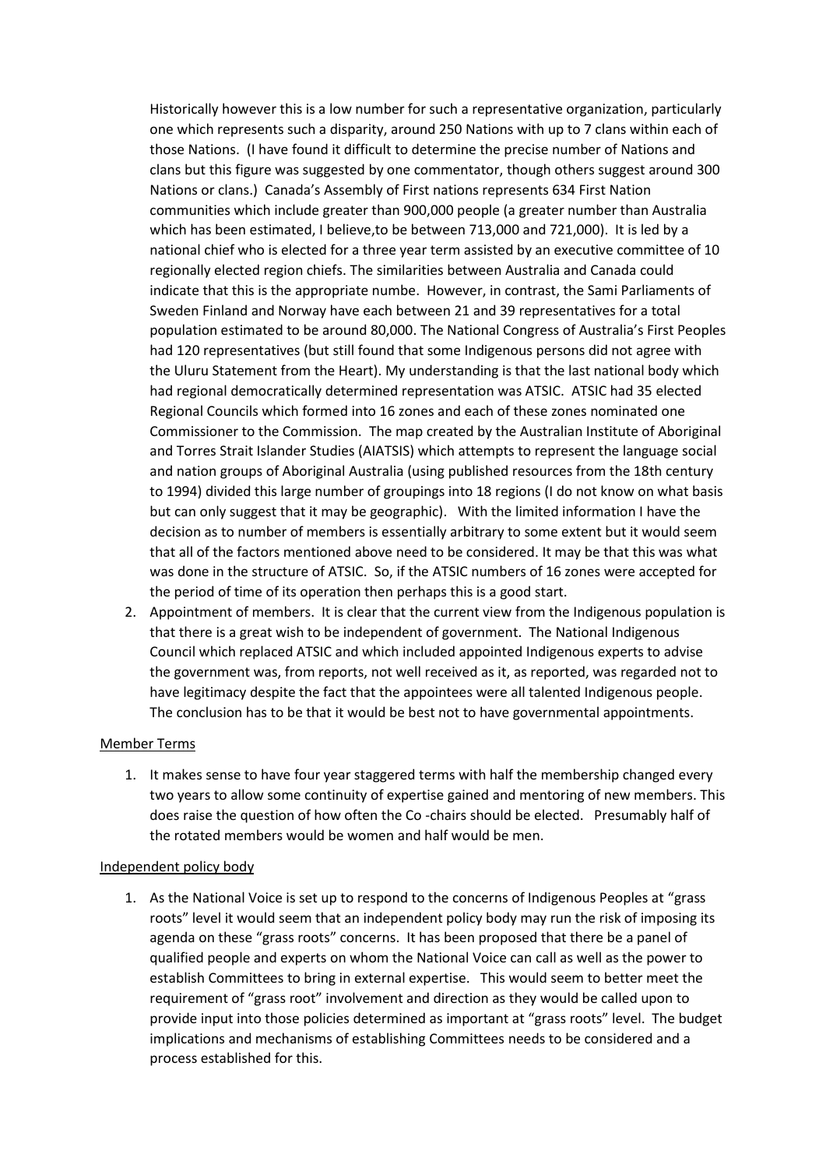Historically however this is a low number for such a representative organization, particularly one which represents such a disparity, around 250 Nations with up to 7 clans within each of those Nations. (I have found it difficult to determine the precise number of Nations and clans but this figure was suggested by one commentator, though others suggest around 300 Nations or clans.) Canada's Assembly of First nations represents 634 First Nation communities which include greater than 900,000 people (a greater number than Australia which has been estimated, I believe,to be between 713,000 and 721,000). It is led by a national chief who is elected for a three year term assisted by an executive committee of 10 regionally elected region chiefs. The similarities between Australia and Canada could indicate that this is the appropriate numbe. However, in contrast, the Sami Parliaments of Sweden Finland and Norway have each between 21 and 39 representatives for a total population estimated to be around 80,000. The National Congress of Australia's First Peoples had 120 representatives (but still found that some Indigenous persons did not agree with the Uluru Statement from the Heart). My understanding is that the last national body which had regional democratically determined representation was ATSIC. ATSIC had 35 elected Regional Councils which formed into 16 zones and each of these zones nominated one Commissioner to the Commission. The map created by the Australian Institute of Aboriginal and Torres Strait Islander Studies (AIATSIS) which attempts to represent the language social and nation groups of Aboriginal Australia (using published resources from the 18th century to 1994) divided this large number of groupings into 18 regions (I do not know on what basis but can only suggest that it may be geographic). With the limited information I have the decision as to number of members is essentially arbitrary to some extent but it would seem that all of the factors mentioned above need to be considered. It may be that this was what was done in the structure of ATSIC. So, if the ATSIC numbers of 16 zones were accepted for the period of time of its operation then perhaps this is a good start.

2. Appointment of members. It is clear that the current view from the Indigenous population is that there is a great wish to be independent of government. The National Indigenous Council which replaced ATSIC and which included appointed Indigenous experts to advise the government was, from reports, not well received as it, as reported, was regarded not to have legitimacy despite the fact that the appointees were all talented Indigenous people. The conclusion has to be that it would be best not to have governmental appointments.

### Member Terms

1. It makes sense to have four year staggered terms with half the membership changed every two years to allow some continuity of expertise gained and mentoring of new members. This does raise the question of how often the Co -chairs should be elected. Presumably half of the rotated members would be women and half would be men.

### Independent policy body

1. As the National Voice is set up to respond to the concerns of Indigenous Peoples at "grass roots" level it would seem that an independent policy body may run the risk of imposing its agenda on these "grass roots" concerns. It has been proposed that there be a panel of qualified people and experts on whom the National Voice can call as well as the power to establish Committees to bring in external expertise. This would seem to better meet the requirement of "grass root" involvement and direction as they would be called upon to provide input into those policies determined as important at "grass roots" level. The budget implications and mechanisms of establishing Committees needs to be considered and a process established for this.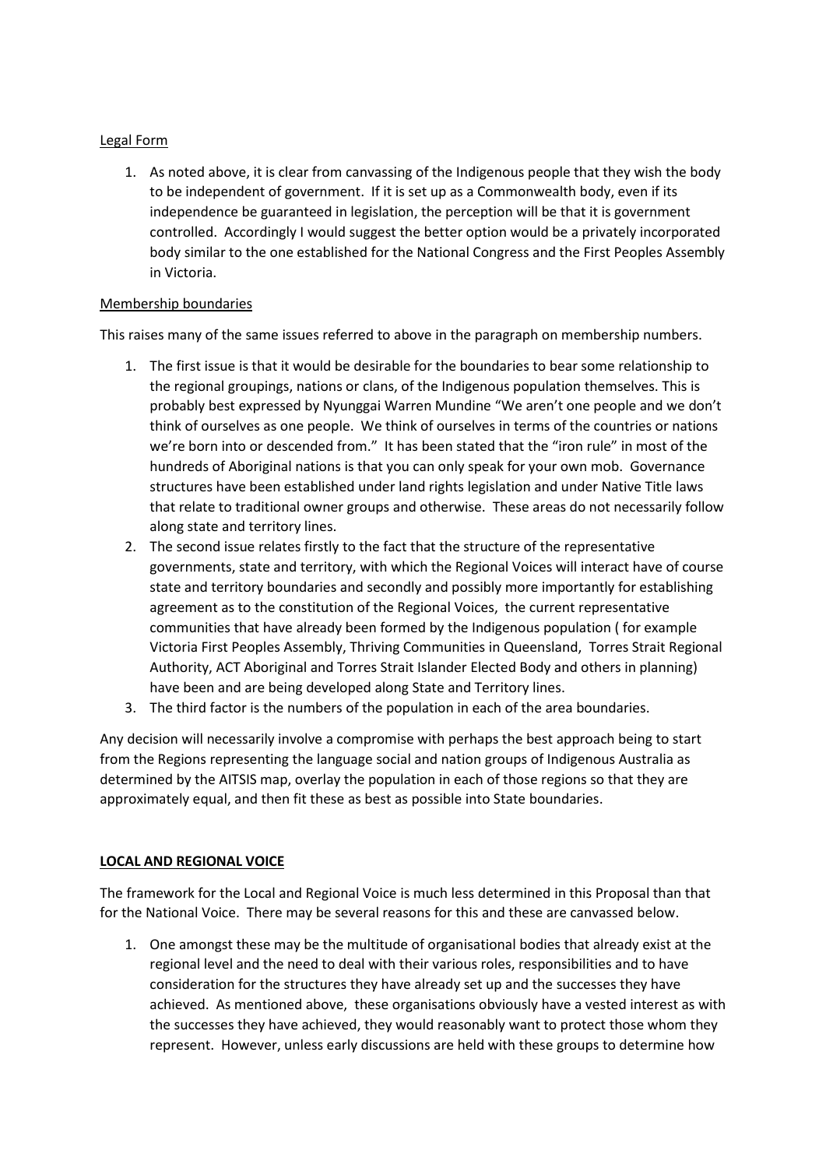## Legal Form

1. As noted above, it is clear from canvassing of the Indigenous people that they wish the body to be independent of government. If it is set up as a Commonwealth body, even if its independence be guaranteed in legislation, the perception will be that it is government controlled. Accordingly I would suggest the better option would be a privately incorporated body similar to the one established for the National Congress and the First Peoples Assembly in Victoria.

## Membership boundaries

This raises many of the same issues referred to above in the paragraph on membership numbers.

- 1. The first issue is that it would be desirable for the boundaries to bear some relationship to the regional groupings, nations or clans, of the Indigenous population themselves. This is probably best expressed by Nyunggai Warren Mundine "We aren't one people and we don't think of ourselves as one people. We think of ourselves in terms of the countries or nations we're born into or descended from." It has been stated that the "iron rule" in most of the hundreds of Aboriginal nations is that you can only speak for your own mob. Governance structures have been established under land rights legislation and under Native Title laws that relate to traditional owner groups and otherwise. These areas do not necessarily follow along state and territory lines.
- 2. The second issue relates firstly to the fact that the structure of the representative governments, state and territory, with which the Regional Voices will interact have of course state and territory boundaries and secondly and possibly more importantly for establishing agreement as to the constitution of the Regional Voices, the current representative communities that have already been formed by the Indigenous population ( for example Victoria First Peoples Assembly, Thriving Communities in Queensland, Torres Strait Regional Authority, ACT Aboriginal and Torres Strait Islander Elected Body and others in planning) have been and are being developed along State and Territory lines.
- 3. The third factor is the numbers of the population in each of the area boundaries.

Any decision will necessarily involve a compromise with perhaps the best approach being to start from the Regions representing the language social and nation groups of Indigenous Australia as determined by the AITSIS map, overlay the population in each of those regions so that they are approximately equal, and then fit these as best as possible into State boundaries.

### **LOCAL AND REGIONAL VOICE**

The framework for the Local and Regional Voice is much less determined in this Proposal than that for the National Voice. There may be several reasons for this and these are canvassed below.

1. One amongst these may be the multitude of organisational bodies that already exist at the regional level and the need to deal with their various roles, responsibilities and to have consideration for the structures they have already set up and the successes they have achieved. As mentioned above, these organisations obviously have a vested interest as with the successes they have achieved, they would reasonably want to protect those whom they represent. However, unless early discussions are held with these groups to determine how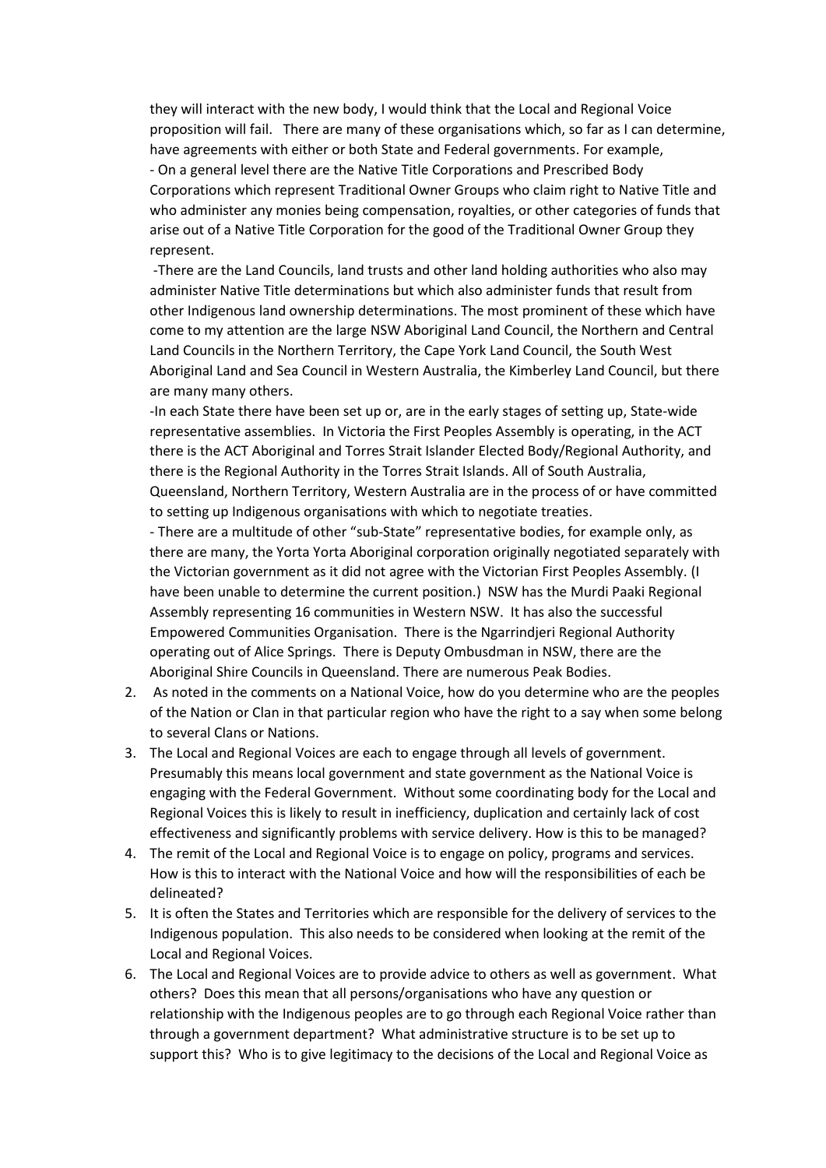they will interact with the new body, I would think that the Local and Regional Voice proposition will fail. There are many of these organisations which, so far as I can determine, have agreements with either or both State and Federal governments. For example, - On a general level there are the Native Title Corporations and Prescribed Body Corporations which represent Traditional Owner Groups who claim right to Native Title and who administer any monies being compensation, royalties, or other categories of funds that arise out of a Native Title Corporation for the good of the Traditional Owner Group they represent.

-There are the Land Councils, land trusts and other land holding authorities who also may administer Native Title determinations but which also administer funds that result from other Indigenous land ownership determinations. The most prominent of these which have come to my attention are the large NSW Aboriginal Land Council, the Northern and Central Land Councils in the Northern Territory, the Cape York Land Council, the South West Aboriginal Land and Sea Council in Western Australia, the Kimberley Land Council, but there are many many others.

-In each State there have been set up or, are in the early stages of setting up, State-wide representative assemblies. In Victoria the First Peoples Assembly is operating, in the ACT there is the ACT Aboriginal and Torres Strait Islander Elected Body/Regional Authority, and there is the Regional Authority in the Torres Strait Islands. All of South Australia, Queensland, Northern Territory, Western Australia are in the process of or have committed to setting up Indigenous organisations with which to negotiate treaties.

- There are a multitude of other "sub-State" representative bodies, for example only, as there are many, the Yorta Yorta Aboriginal corporation originally negotiated separately with the Victorian government as it did not agree with the Victorian First Peoples Assembly. (I have been unable to determine the current position.) NSW has the Murdi Paaki Regional Assembly representing 16 communities in Western NSW. It has also the successful Empowered Communities Organisation. There is the Ngarrindjeri Regional Authority operating out of Alice Springs. There is Deputy Ombusdman in NSW, there are the Aboriginal Shire Councils in Queensland. There are numerous Peak Bodies.

- 2. As noted in the comments on a National Voice, how do you determine who are the peoples of the Nation or Clan in that particular region who have the right to a say when some belong to several Clans or Nations.
- 3. The Local and Regional Voices are each to engage through all levels of government. Presumably this means local government and state government as the National Voice is engaging with the Federal Government. Without some coordinating body for the Local and Regional Voices this is likely to result in inefficiency, duplication and certainly lack of cost effectiveness and significantly problems with service delivery. How is this to be managed?
- 4. The remit of the Local and Regional Voice is to engage on policy, programs and services. How is this to interact with the National Voice and how will the responsibilities of each be delineated?
- 5. It is often the States and Territories which are responsible for the delivery of services to the Indigenous population. This also needs to be considered when looking at the remit of the Local and Regional Voices.
- 6. The Local and Regional Voices are to provide advice to others as well as government. What others? Does this mean that all persons/organisations who have any question or relationship with the Indigenous peoples are to go through each Regional Voice rather than through a government department? What administrative structure is to be set up to support this? Who is to give legitimacy to the decisions of the Local and Regional Voice as